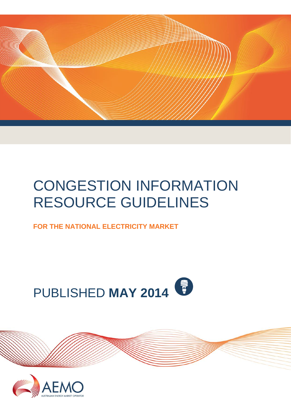

# CONGESTION INFORMATION RESOURCE GUIDELINES

**FOR THE NATIONAL ELECTRICITY MARKET**



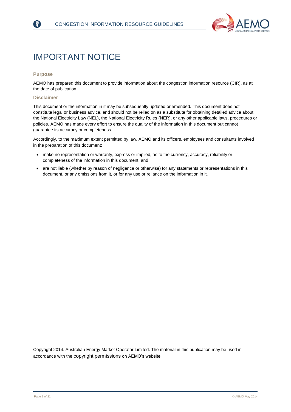

## <span id="page-1-0"></span>IMPORTANT NOTICE

#### **Purpose**

F)

AEMO has prepared this document to provide information about the congestion information resource (CIR), as at the date of publication.

#### **Disclaimer**

This document or the information in it may be subsequently updated or amended. This document does not constitute legal or business advice, and should not be relied on as a substitute for obtaining detailed advice about the National Electricity Law (NEL), the National Electricity Rules (NER), or any other applicable laws, procedures or policies. AEMO has made every effort to ensure the quality of the information in this document but cannot guarantee its accuracy or completeness.

Accordingly, to the maximum extent permitted by law, AEMO and its officers, employees and consultants involved in the preparation of this document:

- make no representation or warranty, express or implied, as to the currency, accuracy, reliability or completeness of the information in this document; and
- are not liable (whether by reason of negligence or otherwise) for any statements or representations in this document, or any omissions from it, or for any use or reliance on the information in it.

Copyright 2014. Australian Energy Market Operator Limited. The material in this publication may be used in accordance with the [copyright permissions](http://www.aemo.com.au/en/About-AEMO/Copyright-Permissions) on AEMO's website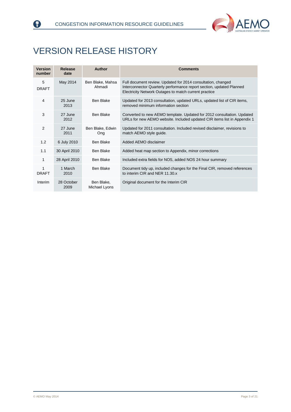



## <span id="page-2-0"></span>VERSION RELEASE HISTORY

| <b>Version</b><br>number | Release<br>date    | <b>Author</b>               | <b>Comments</b>                                                                                                                                                                               |
|--------------------------|--------------------|-----------------------------|-----------------------------------------------------------------------------------------------------------------------------------------------------------------------------------------------|
| 5<br><b>DRAFT</b>        | May 2014           | Ben Blake, Mahsa<br>Ahmadi  | Full document review. Updated for 2014 consultation, changed<br>Interconnector Quarterly performance report section, updated Planned<br>Electricity Network Outages to match current practice |
| 4                        | 25 June<br>2013    | <b>Ben Blake</b>            | Updated for 2013 consultation, updated URLs, updated list of CIR items,<br>removed minimum information section                                                                                |
| 3                        | 27 June<br>2012    | <b>Ben Blake</b>            | Converted to new AEMO template. Updated for 2012 consultation. Updated<br>URLs for new AEMO website. Included updated CIR items list in Appendix 1                                            |
| $\overline{2}$           | 27 June<br>2011    | Ben Blake, Edwin<br>Ong     | Updated for 2011 consultation. Included revised disclaimer, revisions to<br>match AEMO style guide.                                                                                           |
| 1.2                      | 6 July 2010        | Ben Blake                   | Added AEMO disclaimer                                                                                                                                                                         |
| 1.1                      | 30 April 2010      | Ben Blake                   | Added heat map section to Appendix, minor corrections                                                                                                                                         |
| 1                        | 28 April 2010      | Ben Blake                   | Included extra fields for NOS, added NOS 24 hour summary                                                                                                                                      |
| 1<br><b>DRAFT</b>        | 1 March<br>2010    | Ben Blake                   | Document tidy up, included changes for the Final CIR, removed references<br>to interim CIR and NER 11.30.x                                                                                    |
| Interim                  | 28 October<br>2009 | Ben Blake,<br>Michael Lyons | Original document for the Interim CIR                                                                                                                                                         |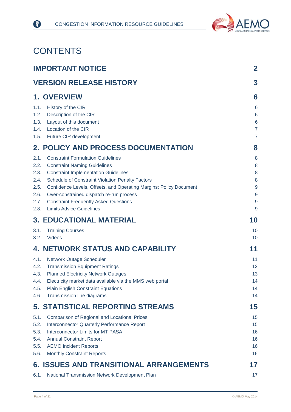

## **CONTENTS**

|      | <b>IMPORTANT NOTICE</b>                                            |                  |  |
|------|--------------------------------------------------------------------|------------------|--|
|      | <b>VERSION RELEASE HISTORY</b>                                     | 3                |  |
|      | <b>1. OVERVIEW</b>                                                 | 6                |  |
| 1.1. | History of the CIR                                                 | $6\phantom{1}6$  |  |
| 1.2. | Description of the CIR                                             | $6\phantom{1}6$  |  |
| 1.3. | Layout of this document                                            | 6                |  |
| 1.4. | Location of the CIR                                                | $\overline{7}$   |  |
| 1.5. | <b>Future CIR development</b>                                      | $\overline{7}$   |  |
|      | <b>2. POLICY AND PROCESS DOCUMENTATION</b>                         | 8                |  |
| 2.1. | <b>Constraint Formulation Guidelines</b>                           | 8                |  |
| 2.2. | <b>Constraint Naming Guidelines</b>                                | 8                |  |
| 2.3. | <b>Constraint Implementation Guidelines</b>                        | 8                |  |
| 2.4. | <b>Schedule of Constraint Violation Penalty Factors</b>            | 8                |  |
| 2.5. | Confidence Levels, Offsets, and Operating Margins: Policy Document | 9                |  |
| 2.6. | Over-constrained dispatch re-run process                           | $\overline{9}$   |  |
| 2.7. | <b>Constraint Frequently Asked Questions</b>                       | $\boldsymbol{9}$ |  |
| 2.8. | <b>Limits Advice Guidelines</b>                                    | 9                |  |
|      | <b>3. EDUCATIONAL MATERIAL</b>                                     | 10               |  |
| 3.1. | <b>Training Courses</b>                                            | 10               |  |
| 3.2. | <b>Videos</b>                                                      | 10               |  |
|      | <b>4. NETWORK STATUS AND CAPABILITY</b>                            | 11               |  |
| 4.1. | Network Outage Scheduler                                           | 11               |  |
| 4.2. | <b>Transmission Equipment Ratings</b>                              | 12               |  |
| 4.3. | <b>Planned Electricity Network Outages</b>                         | 13               |  |
| 4.4. | Electricity market data available via the MMS web portal           | 14               |  |
| 4.5. | <b>Plain English Constraint Equations</b>                          | 14               |  |
| 4.6. | Transmission line diagrams                                         | 14               |  |
|      | 5. STATISTICAL REPORTING STREAMS                                   | 15               |  |
| 5.1. | <b>Comparison of Regional and Locational Prices</b>                | 15               |  |
| 5.2. | <b>Interconnector Quarterly Performance Report</b>                 | 15               |  |
| 5.3. | Interconnector Limits for MT PASA                                  | 16               |  |
| 5.4. | <b>Annual Constraint Report</b>                                    | 16               |  |
| 5.5. | <b>AEMO Incident Reports</b>                                       | 16               |  |
| 5.6. | <b>Monthly Constraint Reports</b>                                  | 16               |  |
|      | <b>6. ISSUES AND TRANSITIONAL ARRANGEMENTS</b>                     | 17               |  |
| 6.1. | National Transmission Network Development Plan                     | 17               |  |
|      |                                                                    |                  |  |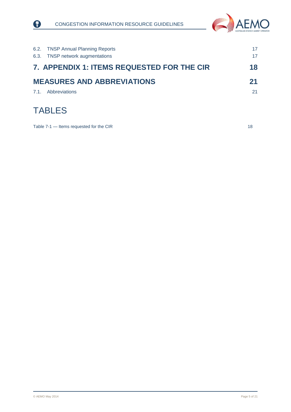



| 6.2. TNSP Annual Planning Reports<br><b>TNSP network augmentations</b><br>6.3. | 17<br>17 |
|--------------------------------------------------------------------------------|----------|
| 7. APPENDIX 1: ITEMS REQUESTED FOR THE CIR                                     | 18       |
| <b>MEASURES AND ABBREVIATIONS</b>                                              | 21       |
| Abbreviations<br>7.1.                                                          | 21       |
| <b>TABLES</b>                                                                  |          |

Table 7-1 — [Items requested for the CIR](#page-17-1) 18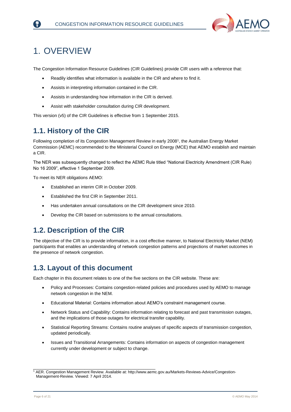

## <span id="page-5-0"></span>1. OVERVIEW

The Congestion Information Resource Guidelines (CIR Guidelines) provide CIR users with a reference that:

- Readily identifies what information is available in the CIR and where to find it.
- Assists in interpreting information contained in the CIR.
- Assists in understanding how information in the CIR is derived.
- Assist with stakeholder consultation during CIR development.

This version (v5) of the CIR Guidelines is effective from 1 September 2015.

### <span id="page-5-1"></span>**1.1. History of the CIR**

Following completion of its Congestion Management Review in early 2008<sup>1</sup>, the Australian Energy Market Commission (AEMC) recommended to the Ministerial Council on Energy (MCE) that AEMO establish and maintain a CIR.

The NER was subsequently changed to reflect the AEMC Rule titled "National Electricity Amendment (CIR Rule) No 16 2009", effective 1 September 2009.

To meet its NER obligations AEMO:

- Established an interim CIR in October 2009.
- Established the first CIR in September 2011.
- Has undertaken annual consultations on the CIR development since 2010.
- Develop the CIR based on submissions to the annual consultations.

### <span id="page-5-2"></span>**1.2. Description of the CIR**

The objective of the CIR is to provide information, in a cost effective manner, to National Electricity Market (NEM) participants that enables an understanding of network congestion patterns and projections of market outcomes in the presence of network congestion.

### <span id="page-5-3"></span>**1.3. Layout of this document**

\_\_\_\_\_\_\_\_\_\_\_\_\_\_\_\_\_\_\_\_\_\_\_\_\_\_\_\_\_\_\_\_\_\_\_\_\_\_\_\_\_\_\_\_\_\_\_\_\_\_

Each chapter in this document relates to one of the five sections on the CIR website. These are:

- Policy and Processes: Contains congestion-related policies and procedures used by AEMO to manage network congestion in the NEM.
- Educational Material: Contains information about AEMO's constraint management course.
- Network Status and Capability: Contains information relating to forecast and past transmission outages, and the implications of those outages for electrical transfer capability.
- Statistical Reporting Streams: Contains routine analyses of specific aspects of transmission congestion, updated periodically.
- Issues and Transitional Arrangements: Contains information on aspects of congestion management currently under development or subject to change.

<sup>1</sup> AER. Congestion Management Review. Available at: [http://www.aemc.gov.au/Markets-Reviews-Advice/Congestion-](http://www.aemc.gov.au/Markets-Reviews-Advice/Congestion-Management-Review)[Management-Review.](http://www.aemc.gov.au/Markets-Reviews-Advice/Congestion-Management-Review) Viewed: 7 April 2014.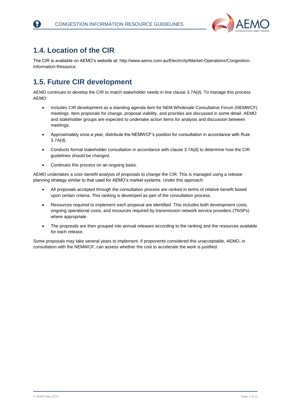

### <span id="page-6-0"></span>**1.4. Location of the CIR**

The CIR is available on AEMO's website at[: http://www.aemo.com.au/Electricity/Market-Operations/Congestion-](http://www.aemo.com.au/Electricity/Market-Operations/Congestion-Information-Resource)[Information-Resource.](http://www.aemo.com.au/Electricity/Market-Operations/Congestion-Information-Resource)

### <span id="page-6-1"></span>**1.5. Future CIR development**

AEMO continues to develop the CIR to match stakeholder needs in line clause 3.7A(d). To manage this process AEMO:

- Includes CIR development as a standing agenda item for NEM Wholesale Consultative Forum (NEMWCF) meetings. Item proposals for change, proposal viability, and priorities are discussed in some detail. AEMO and stakeholder groups are expected to undertake action items for analysis and discussion between meetings.
- Approximately once a year, distribute the NEMWCF's position for consultation in accordance with Rule 3.7A(d).
- Conducts formal stakeholder consultation in accordance with clause 3.7A(d) to determine how the CIR guidelines should be changed.
- Continues this process on an ongoing basis.

AEMO undertakes a cost–benefit analysis of proposals to change the CIR. This is managed using a release planning strategy similar to that used for AEMO's market systems. Under this approach:

- All proposals accepted through the consultation process are ranked in terms of relative benefit based upon certain criteria. This ranking is developed as part of the consultation process.
- Resources required to implement each proposal are identified. This includes both development costs, ongoing operational costs, and resources required by transmission network service providers (TNSPs) where appropriate.
- The proposals are then grouped into annual releases according to the ranking and the resources available for each release.

Some proposals may take several years to implement. If proponents considered this unacceptable, AEMO, in consultation with the NEMWCF, can assess whether the cost to accelerate the work is justified.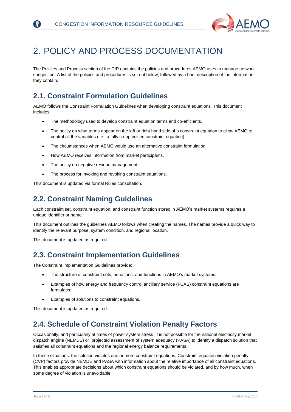

## <span id="page-7-0"></span>2. POLICY AND PROCESS DOCUMENTATION

The Policies and Process section of the CIR contains the policies and procedures AEMO uses to manage network congestion. A list of the policies and procedures is set out below, followed by a brief description of the information they contain.

### <span id="page-7-1"></span>**2.1. Constraint Formulation Guidelines**

AEMO follows the Constraint Formulation Guidelines when developing constraint equations. This document includes:

- The methodology used to develop constraint equation terms and co-efficients.
- The policy on what terms appear on the left or right hand side of a constraint equation to allow AEMO to control all the variables (i.e., a fully co-optimised constraint equation).
- The circumstances when AEMO would use an alternative constraint formulation.
- How AEMO receives information from market participants.
- The policy on negative residue management.
- The process for invoking and revoking constraint equations.

This document is updated via formal Rules consultation.

### <span id="page-7-2"></span>**2.2. Constraint Naming Guidelines**

Each constraint set, constraint equation, and constraint function stored in AEMO's market systems requires a unique identifier or name.

This document outlines the guidelines AEMO follows when creating the names. The names provide a quick way to identify the relevant purpose, system condition, and regional location.

This document is updated as required.

### <span id="page-7-3"></span>**2.3. Constraint Implementation Guidelines**

The Constraint Implementation Guidelines provide:

- The structure of constraint sets, equations, and functions in AEMO's market systems.
- Examples of how energy and frequency control ancillary service (FCAS) constraint equations are formulated.
- Examples of solutions to constraint equations.

This document is updated as required.

### <span id="page-7-4"></span>**2.4. Schedule of Constraint Violation Penalty Factors**

Occasionally, and particularly at times of power system stress, it is not possible for the national electricity market dispatch engine (NEMDE) or projected assessment of system adequacy (PASA) to identify a dispatch solution that satisfies all constraint equations and the regional energy balance requirements.

In these situations, the solution violates one or more constraint equations. Constraint equation violation penalty (CVP) factors provide NEMDE and PASA with information about the relative importance of all constraint equations. This enables appropriate decisions about which constraint equations should be violated, and by how much, when some degree of violation is unavoidable.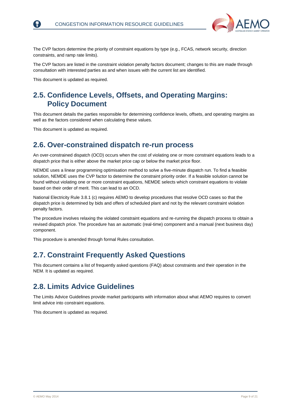

The CVP factors determine the priority of constraint equations by type (e.g., FCAS, network security, direction constraints, and ramp rate limits).

The CVP factors are listed in the constraint violation penalty factors document; changes to this are made through consultation with interested parties as and when issues with the current list are identified.

This document is updated as required.

### <span id="page-8-0"></span>**2.5. Confidence Levels, Offsets, and Operating Margins: Policy Document**

This document details the parties responsible for determining confidence levels, offsets, and operating margins as well as the factors considered when calculating these values.

This document is updated as required.

### <span id="page-8-1"></span>**2.6. Over-constrained dispatch re-run process**

An over-constrained dispatch (OCD) occurs when the cost of violating one or more constraint equations leads to a dispatch price that is either above the market price cap or below the market price floor.

NEMDE uses a linear programming optimisation method to solve a five-minute dispatch run. To find a feasible solution, NEMDE uses the CVP factor to determine the constraint priority order. If a feasible solution cannot be found without violating one or more constraint equations, NEMDE selects which constraint equations to violate based on their order of merit. This can lead to an OCD.

National Electricity Rule 3.8.1 (c) requires AEMO to develop procedures that resolve OCD cases so that the dispatch price is determined by bids and offers of scheduled plant and not by the relevant constraint violation penalty factors.

The procedure involves relaxing the violated constraint equations and re-running the dispatch process to obtain a revised dispatch price. The procedure has an automatic (real-time) component and a manual (next business day) component.

This procedure is amended through formal Rules consultation.

### <span id="page-8-2"></span>**2.7. Constraint Frequently Asked Questions**

This document contains a list of frequently asked questions (FAQ) about constraints and their operation in the NEM. It is updated as required.

### <span id="page-8-3"></span>**2.8. Limits Advice Guidelines**

The Limits Advice Guidelines provide market participants with information about what AEMO requires to convert limit advice into constraint equations.

This document is updated as required.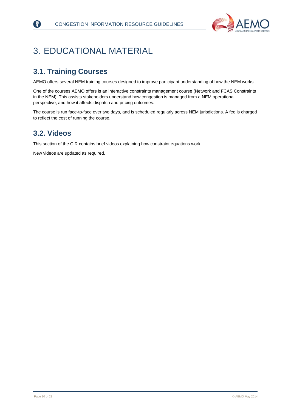

## <span id="page-9-0"></span>3. EDUCATIONAL MATERIAL

### <span id="page-9-1"></span>**3.1. Training Courses**

AEMO offers several NEM training courses designed to improve participant understanding of how the NEM works.

One of the courses AEMO offers is an interactive constraints management course (Network and FCAS Constraints in the NEM). This assists stakeholders understand how congestion is managed from a NEM operational perspective, and how it affects dispatch and pricing outcomes.

The course is run face-to-face over two days, and is scheduled regularly across NEM jurisdictions. A fee is charged to reflect the cost of running the course.

### <span id="page-9-2"></span>**3.2. Videos**

R)

This section of the CIR contains brief videos explaining how constraint equations work.

New videos are updated as required.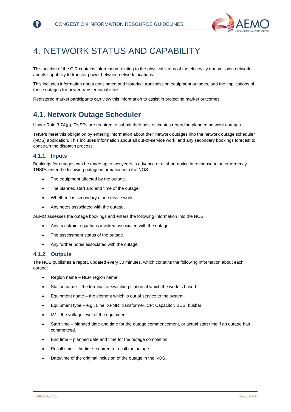

## <span id="page-10-0"></span>4. NETWORK STATUS AND CAPABILITY

This section of the CIR contains information relating to the physical status of the electricity transmission network and its capability to transfer power between network locations.

This includes information about anticipated and historical transmission equipment outages, and the implications of those outages for power transfer capabilities.

Registered market participants can view this information to assist in projecting market outcomes.

### <span id="page-10-1"></span>**4.1. Network Outage Scheduler**

Under Rule 3.7A(p), TNSPs are required to submit their best estimates regarding planned network outages.

TNSPs meet this obligation by entering information about their network outages into the network outage scheduler (NOS) application. This includes information about all out-of-service work, and any secondary bookings forecast to constrain the dispatch process.

#### **4.1.1. Inputs**

Bookings for outages can be made up to two years in advance or at short notice in response to an emergency. TNSPs enter the following outage information into the NOS:

- The equipment affected by the outage.
- The planned start and end time of the outage.
- Whether it is secondary or in-service work.
- Any notes associated with the outage.

AEMO assesses the outage bookings and enters the following information into the NOS:

- Any constraint equations invoked associated with the outage.
- The assessment status of the outage.
- Any further notes associated with the outage.

#### **4.1.2. Outputs**

The NOS publishes a report, updated every 30 minutes, which contains the following information about each outage:

- Region name NEM region name.
- Station name the terminal or switching station at which the work is based.
- Equipment name the element which is out of service to the system.
- Equipment type e.g., Line, XFMR: transformer, CP: Capacitor, BUS: busbar.
- kV the voltage level of the equipment.
- Start time planned date and time for the outage commencement, or actual start time if an outage has commenced.
- End time planned date and time for the outage completion.
- Recall time the time required to recall the outage.
- Date/time of the original inclusion of the outage in the NOS.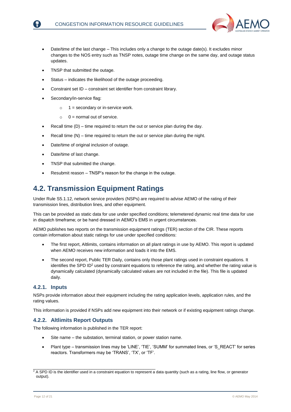

- Date/time of the last change This includes only a change to the outage date(s). It excludes minor changes to the NOS entry such as TNSP notes, outage time change on the same day, and outage status updates.
- TNSP that submitted the outage.
- Status indicates the likelihood of the outage proceeding.
- Constraint set ID constraint set identifier from constraint library.
- Secondary/in-service flag:
	- $\circ$  1 = secondary or in-service work.
	- $0 =$  normal out of service.
- Recall time (D) time required to return the out or service plan during the day.
- Recall time (N) time required to return the out or service plan during the night.
- Date/time of original inclusion of outage.
- Date/time of last change.
- TNSP that submitted the change.
- Resubmit reason TNSP's reason for the change in the outage.

### <span id="page-11-0"></span>**4.2. Transmission Equipment Ratings**

Under Rule S5.1.12, network service providers (NSPs) are required to advise AEMO of the rating of their transmission lines, distribution lines, and other equipment.

This can be provided as static data for use under specified conditions; telemetered dynamic real time data for use in dispatch timeframe; or be hand dressed in AEMO's EMS in urgent circumstances.

AEMO publishes two reports on the transmission equipment ratings (TER) section of the CIR. These reports contain information about static ratings for use under specified conditions:

- The first report, Altlimits, contains information on all plant ratings in use by AEMO. This report is updated when AEMO receives new information and loads it into the EMS.
- The second report, Public TER Daily, contains only those plant ratings used in constraint equations. It identifies the SPD ID<sup>2</sup> used by constraint equations to reference the rating, and whether the rating value is dynamically calculated (dynamically calculated values are not included in the file). This file is updated daily.

#### **4.2.1. Inputs**

NSPs provide information about their equipment including the rating application levels, application rules, and the rating values.

This information is provided if NSPs add new equipment into their network or if existing equipment ratings change.

#### **4.2.2. Altlimits Report Outputs**

The following information is published in the TER report:

\_\_\_\_\_\_\_\_\_\_\_\_\_\_\_\_\_\_\_\_\_\_\_\_\_\_\_\_\_\_\_\_\_\_\_\_\_\_\_\_\_\_\_\_\_\_\_\_\_\_

- Site name the substation, terminal station, or power station name.
- Plant type transmission lines may be 'LINE', 'TIE', 'SUMM' for summated lines, or 'S\_REACT' for series reactors. Transformers may be 'TRANS', 'TX', or 'TF'.

 $2$  A SPD ID is the identifier used in a constraint equation to represent a data quantity (such as a rating, line flow, or generator output).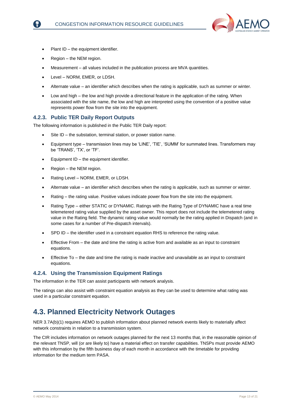

- Plant ID the equipment identifier.
- Region the NEM region.
- Measurement all values included in the publication process are MVA quantities.
- Level NORM, EMER, or LDSH.
- Alternate value an identifier which describes when the rating is applicable, such as summer or winter.
- Low and high the low and high provide a directional feature in the application of the rating. When associated with the site name, the low and high are interpreted using the convention of a positive value represents power flow from the site into the equipment.

#### **4.2.3. Public TER Daily Report Outputs**

The following information is published in the Public TER Daily report:

- Site ID the substation, terminal station, or power station name.
- Equipment type transmission lines may be 'LINE', 'TIE', 'SUMM' for summated lines. Transformers may be 'TRANS', 'TX', or 'TF'.
- Equipment ID the equipment identifier.
- Region the NEM region.
- Rating Level NORM, EMER, or LDSH.
- Alternate value an identifier which describes when the rating is applicable, such as summer or winter.
- Rating the rating value. Positive values indicate power flow from the site into the equipment.
- Rating Type either STATIC or DYNAMIC. Ratings with the Rating Type of DYNAMIC have a real time telemetered rating value supplied by the asset owner. This report does not include the telemetered rating value in the Rating field. The dynamic rating value would normally be the rating applied in Dispatch (and in some cases for a number of Pre-dispatch intervals).
- SPD ID the identifier used in a constraint equation RHS to reference the rating value.
- Effective From the date and time the rating is active from and available as an input to constraint equations.
- Effective To the date and time the rating is made inactive and unavailable as an input to constraint equations.

#### **4.2.4. Using the Transmission Equipment Ratings**

The information in the TER can assist participants with network analysis.

The ratings can also assist with constraint equation analysis as they can be used to determine what rating was used in a particular constraint equation.

### <span id="page-12-0"></span>**4.3. Planned Electricity Network Outages**

NER 3.7A(b)(1) requires AEMO to publish information about planned network events likely to materially affect network constraints in relation to a transmission system.

The CIR includes information on network outages planned for the next 13 months that, in the reasonable opinion of the relevant TNSP, will (or are likely to) have a material effect on transfer capabilities. TNSPs must provide AEMO with this information by the fifth business day of each month in accordance with the timetable for providing information for the medium term PASA.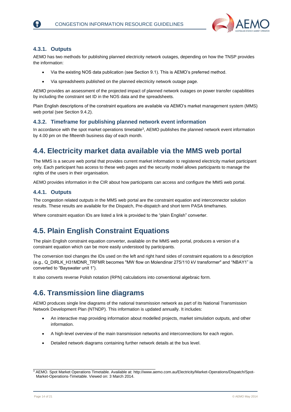

#### **4.3.1. Outputs**

AEMO has two methods for publishing planned electricity network outages, depending on how the TNSP provides the information:

- Via the existing NOS data publication (see Section 9.1). This is AEMO's preferred method.
- Via spreadsheets published on the planned electricity network outage page.

AEMO provides an assessment of the projected impact of planned network outages on power transfer capabilities by including the constraint set ID in the NOS data and the spreadsheets.

Plain English descriptions of the constraint equations are available via AEMO's market management system (MMS) web portal (see Section 9.4.2).

#### **4.3.2. Timeframe for publishing planned network event information**

In accordance with the spot market operations timetable<sup>3</sup>, AEMO publishes the planned network event information by 4.00 pm on the fifteenth business day of each month.

### <span id="page-13-0"></span>**4.4. Electricity market data available via the MMS web portal**

The MMS is a secure web portal that provides current market information to registered electricity market participant only. Each participant has access to these web pages and the security model allows participants to manage the rights of the users in their organisation.

AEMO provides information in the CIR about how participants can access and configure the MMS web portal.

#### **4.4.1. Outputs**

The congestion related outputs in the MMS web portal are the constraint equation and interconnector solution results. These results are available for the Dispatch, Pre-dispatch and short term PASA timeframes.

Where constraint equation IDs are listed a link is provided to the "plain English" converter.

### <span id="page-13-1"></span>**4.5. Plain English Constraint Equations**

The plain English constraint equation converter, available on the MMS web portal, produces a version of a constraint equation which can be more easily understood by participants.

The conversion tool changes the IDs used on the left and right hand sides of constraint equations to a description (e.g., Q\_DIRLK\_H31MDNR\_TRFMR becomes "MW flow on Molendinar 275/110 kV transformer" and "NBAY1" is converted to "Bayswater unit 1").

It also converts reverse Polish notation (RPN) calculations into conventional algebraic form.

### <span id="page-13-2"></span>**4.6. Transmission line diagrams**

\_\_\_\_\_\_\_\_\_\_\_\_\_\_\_\_\_\_\_\_\_\_\_\_\_\_\_\_\_\_\_\_\_\_\_\_\_\_\_\_\_\_\_\_\_\_\_\_\_\_

AEMO produces single line diagrams of the national transmission network as part of its National Transmission Network Development Plan (NTNDP). This information is updated annually. It includes:

- An interactive map providing information about modelled projects, market simulation outputs, and other information.
- A high-level overview of the main transmission networks and interconnections for each region.
- Detailed network diagrams containing further network details at the bus level.

<sup>3</sup> AEMO. Spot Market Operations Timetable. Available at: [http://www.aemo.com.au/Electricity/Market-Operations/Dispatch/Spot-](http://www.aemo.com.au/Electricity/Market-Operations/Dispatch/Spot-Market-Operations-Timetable)[Market-Operations-Timetable.](http://www.aemo.com.au/Electricity/Market-Operations/Dispatch/Spot-Market-Operations-Timetable) Viewed on: 3 March 2014.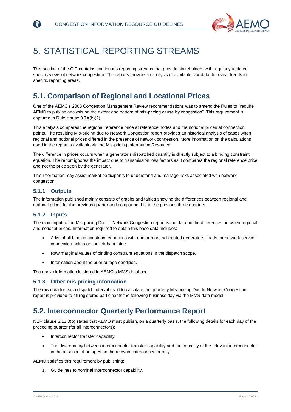

## <span id="page-14-0"></span>5. STATISTICAL REPORTING STREAMS

This section of the CIR contains continuous reporting streams that provide stakeholders with regularly updated specific views of network congestion. The reports provide an analysis of available raw data, to reveal trends in specific reporting areas.

### <span id="page-14-1"></span>**5.1. Comparison of Regional and Locational Prices**

One of the AEMC's 2008 Congestion Management Review recommendations was to amend the Rules to "require AEMO to publish analysis on the extent and pattern of mis-pricing cause by congestion". This requirement is captured in Rule clause 3.7A(b)(2).

This analysis compares the regional reference price at reference nodes and the notional prices at connection points. The resulting Mis-pricing due to Network Congestion report provides an historical analysis of cases when regional and notional prices differed in the presence of network congestion. More information on the calculations used in the report is available via the Mis-pricing Information Resource.

The difference in prices occurs when a generator's dispatched quantity is directly subject to a binding constraint equation. The report ignores the impact due to transmission loss factors as it compares the regional reference price and not the price seen by the generator.

This information may assist market participants to understand and manage risks associated with network congestion.

#### **5.1.1. Outputs**

The information published mainly consists of graphs and tables showing the differences between regional and notional prices for the previous quarter and comparing this to the previous three quarters.

#### **5.1.2. Inputs**

The main input to the Mis-pricing Due to Network Congestion report is the data on the differences between regional and notional prices. Information required to obtain this base data includes:

- A list of all binding constraint equations with one or more scheduled generators, loads, or network service connection points on the left hand side.
- Raw marginal values of binding constraint equations in the dispatch scope.
- Information about the prior outage condition.

The above information is stored in AEMO's MMS database.

#### **5.1.3. Other mis-pricing information**

The raw data for each dispatch interval used to calculate the quarterly Mis-pricing Due to Network Congestion report is provided to all registered participants the following business day via the MMS data model.

### <span id="page-14-2"></span>**5.2. Interconnector Quarterly Performance Report**

NER clause 3.13.3(p) states that AEMO must publish, on a quarterly basis, the following details for each day of the preceding quarter (for all interconnectors):

- Interconnector transfer capability.
- The discrepancy between interconnector transfer capability and the capacity of the relevant interconnector in the absence of outages on the relevant interconnector only.

AEMO satisfies this requirement by publishing:

1. Guidelines to nominal interconnector capability.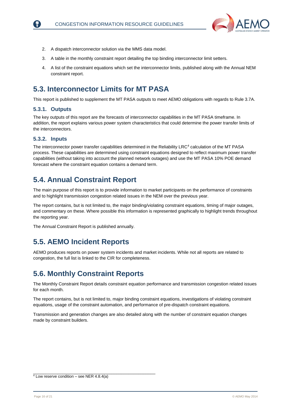

- 2. A dispatch interconnector solution via the MMS data model.
- 3. A table in the monthly constraint report detailing the top binding interconnector limit setters.
- 4. A list of the constraint equations which set the interconnector limits, published along with the Annual NEM constraint report.

### <span id="page-15-0"></span>**5.3. Interconnector Limits for MT PASA**

This report is published to supplement the MT PASA outputs to meet AEMO obligations with regards to Rule 3.7A.

#### **5.3.1. Outputs**

The key outputs of this report are the forecasts of interconnector capabilities in the MT PASA timeframe. In addition, the report explains various power system characteristics that could determine the power transfer limits of the interconnectors.

#### **5.3.2. Inputs**

The interconnector power transfer capabilities determined in the Reliability LRC<sup>4</sup> calculation of the MT PASA process. These capabilities are determined using constraint equations designed to reflect maximum power transfer capabilities (without taking into account the planned network outages) and use the MT PASA 10% POE demand forecast where the constraint equation contains a demand term.

### <span id="page-15-1"></span>**5.4. Annual Constraint Report**

The main purpose of this report is to provide information to market participants on the performance of constraints and to highlight transmission congestion related issues in the NEM over the previous year.

The report contains, but is not limited to, the major binding/violating constraint equations, timing of major outages, and commentary on these. Where possible this information is represented graphically to highlight trends throughout the reporting year.

The Annual Constraint Report is published annually.

### <span id="page-15-2"></span>**5.5. AEMO Incident Reports**

AEMO produces reports on power system incidents and market incidents. While not all reports are related to congestion, the full list is linked to the CIR for completeness.

### <span id="page-15-3"></span>**5.6. Monthly Constraint Reports**

The Monthly Constraint Report details constraint equation performance and transmission congestion related issues for each month.

The report contains, but is not limited to, major binding constraint equations, investigations of violating constraint equations, usage of the constraint automation, and performance of pre-dispatch constraint equations.

Transmission and generation changes are also detailed along with the number of constraint equation changes made by constraint builders.

\_\_\_\_\_\_\_\_\_\_\_\_\_\_\_\_\_\_\_\_\_\_\_\_\_\_\_\_\_\_\_\_\_\_\_\_\_\_\_\_\_\_\_\_\_\_\_\_\_\_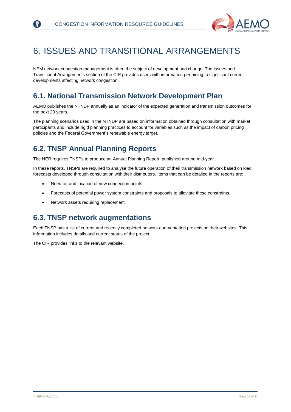

## <span id="page-16-0"></span>6. ISSUES AND TRANSITIONAL ARRANGEMENTS

NEM network congestion management is often the subject of development and change. The Issues and Transitional Arrangements section of the CIR provides users with information pertaining to significant current developments affecting network congestion.

### <span id="page-16-1"></span>**6.1. National Transmission Network Development Plan**

AEMO publishes the NTNDP annually as an indicator of the expected generation and transmission outcomes for the next 20 years.

The planning scenarios used in the NTNDP are based on information obtained through consultation with market participants and include rigid planning practices to account for variables such as the impact of carbon pricing policies and the Federal Government's renewable energy target.

### <span id="page-16-2"></span>**6.2. TNSP Annual Planning Reports**

The NER requires TNSPs to produce an Annual Planning Report, published around mid-year.

In these reports, TNSPs are required to analyse the future operation of their transmission network based on load forecasts developed through consultation with their distributors. Items that can be detailed in the reports are:

- Need for and location of new connection points.
- Forecasts of potential power system constraints and proposals to alleviate these constraints.
- Network assets requiring replacement.

### <span id="page-16-3"></span>**6.3. TNSP network augmentations**

Each TNSP has a list of current and recently completed network augmentation projects on their websites. This information includes details and current status of the project.

The CIR provides links to the relevant website.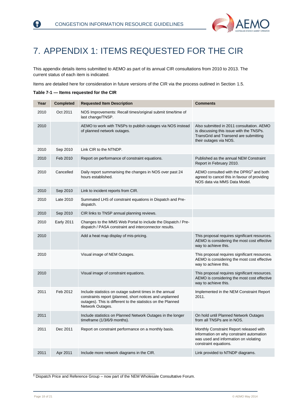

## <span id="page-17-0"></span>7. APPENDIX 1: ITEMS REQUESTED FOR THE CIR

This appendix details items submitted to AEMO as part of its annual CIR consultations from 2010 to 2013. The current status of each item is indicated.

Items are detailed here for consideration in future versions of the CIR via the process outlined in Section [1.5.](#page-6-1)

#### <span id="page-17-1"></span>**Table 7-1 — Items requested for the CIR**

 $|? \rangle$ 

| Year | <b>Completed</b>  | <b>Requested Item Description</b>                                                                                                                                                                       | <b>Comments</b>                                                                                                                                          |
|------|-------------------|---------------------------------------------------------------------------------------------------------------------------------------------------------------------------------------------------------|----------------------------------------------------------------------------------------------------------------------------------------------------------|
| 2010 | Oct 2011          | NOS Improvements: Recall times/original submit time/time of<br>last change/TNSP.                                                                                                                        |                                                                                                                                                          |
| 2010 |                   | AEMO to work with TNSPs to publish outages via NOS instead<br>of planned network outages.                                                                                                               | Also submitted in 2011 consultation. AEMO<br>is discussing this issue with the TNSPs.<br>TransGrid and Transend are submitting<br>their outages via NOS. |
| 2010 | Sep 2010          | Link CIR to the NTNDP.                                                                                                                                                                                  |                                                                                                                                                          |
| 2010 | Feb 2010          | Report on performance of constraint equations.                                                                                                                                                          | Published as the annual NEM Constraint<br>Report in February 2010.                                                                                       |
| 2010 | Cancelled         | Daily report summarising the changes in NOS over past 24<br>hours established.                                                                                                                          | AEMO consulted with the DPRG <sup>5</sup> and both<br>agreed to cancel this in favour of providing<br>NOS data via MMS Data Model.                       |
| 2010 | Sep 2010          | Link to incident reports from CIR.                                                                                                                                                                      |                                                                                                                                                          |
| 2010 | Late 2010         | Summated LHS of constraint equations in Dispatch and Pre-<br>dispatch.                                                                                                                                  |                                                                                                                                                          |
| 2010 | Sep 2010          | CIR links to TNSP annual planning reviews.                                                                                                                                                              |                                                                                                                                                          |
| 2010 | <b>Early 2011</b> | Changes to the MMS Web Portal to include the Dispatch / Pre-<br>dispatch / PASA constraint and interconnector results.                                                                                  |                                                                                                                                                          |
| 2010 |                   | Add a heat map display of mis-pricing.                                                                                                                                                                  | This proposal requires significant resources.<br>AEMO is considering the most cost effective<br>way to achieve this.                                     |
| 2010 |                   | Visual image of NEM Outages.                                                                                                                                                                            | This proposal requires significant resources.<br>AEMO is considering the most cost effective<br>way to achieve this.                                     |
| 2010 |                   | Visual image of constraint equations.                                                                                                                                                                   | This proposal requires significant resources.<br>AEMO is considering the most cost effective<br>way to achieve this.                                     |
| 2011 | Feb 2012          | Include statistics on outage submit times in the annual<br>constraints report (planned, short notices and unplanned<br>outages). This is different to the statistics on the Planned<br>Network Outages. | Implemented in the NEM Constraint Report<br>2011.                                                                                                        |
| 2011 |                   | Include statistics on Planned Network Outages in the longer<br>timeframe (1/3/6/9 months).                                                                                                              | On hold until Planned Network Outages<br>from all TNSPs are in NOS.                                                                                      |
| 2011 | Dec 2011          | Report on constraint performance on a monthly basis.                                                                                                                                                    | Monthly Constraint Report released with<br>information on why constraint automation<br>was used and information on violating<br>constraint equations.    |
| 2011 | Apr 2011          | Include more network diagrams in the CIR.                                                                                                                                                               | Link provided to NTNDP diagrams.                                                                                                                         |

 $5$  Dispatch Price and Reference Group – now part of the NEM Wholesale Consultative Forum.

\_\_\_\_\_\_\_\_\_\_\_\_\_\_\_\_\_\_\_\_\_\_\_\_\_\_\_\_\_\_\_\_\_\_\_\_\_\_\_\_\_\_\_\_\_\_\_\_\_\_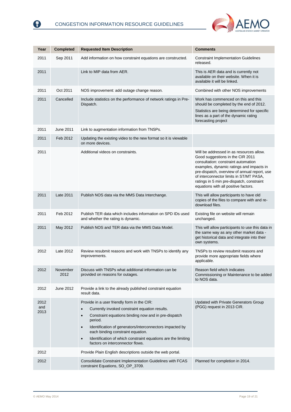

| Year                | <b>Completed</b> | <b>Requested Item Description</b>                                                                                                                                                                                                                                                                                                                                                                             | <b>Comments</b>                                                                                                                                                                                                                                                                                                                                 |
|---------------------|------------------|---------------------------------------------------------------------------------------------------------------------------------------------------------------------------------------------------------------------------------------------------------------------------------------------------------------------------------------------------------------------------------------------------------------|-------------------------------------------------------------------------------------------------------------------------------------------------------------------------------------------------------------------------------------------------------------------------------------------------------------------------------------------------|
| 2011                | Sep 2011         | Add information on how constraint equations are constructed.                                                                                                                                                                                                                                                                                                                                                  | <b>Constraint Implementation Guidelines</b><br>released.                                                                                                                                                                                                                                                                                        |
| 2011                |                  | Link to MIP data from AER.                                                                                                                                                                                                                                                                                                                                                                                    | This is AER data and is currently not<br>available on their website. When it is<br>available it will be linked.                                                                                                                                                                                                                                 |
| 2011                | Oct 2011         | NOS improvement: add outage change reason.                                                                                                                                                                                                                                                                                                                                                                    | Combined with other NOS improvements                                                                                                                                                                                                                                                                                                            |
| 2011                | Cancelled        | Include statistics on the performance of network ratings in Pre-<br>Dispatch.                                                                                                                                                                                                                                                                                                                                 | Work has commenced on this and this<br>should be completed by the end of 2012.<br>Statistics are being determined for specific                                                                                                                                                                                                                  |
|                     |                  |                                                                                                                                                                                                                                                                                                                                                                                                               | lines as a part of the dynamic rating<br>forecasting project                                                                                                                                                                                                                                                                                    |
| 2011                | June 2011        | Link to augmentation information from TNSPs.                                                                                                                                                                                                                                                                                                                                                                  |                                                                                                                                                                                                                                                                                                                                                 |
| 2011                | Feb 2012         | Updating the existing video to the new format so it is viewable<br>on more devices.                                                                                                                                                                                                                                                                                                                           |                                                                                                                                                                                                                                                                                                                                                 |
| 2011                |                  | Additional videos on constraints.                                                                                                                                                                                                                                                                                                                                                                             | Will be addressed in as resources allow.<br>Good suggestions in the CIR 2011<br>consultation: constraint automation<br>examples, dynamic ratings and impacts in<br>pre-dispatch, overview of annual report, use<br>of interconnector limits in ST/MT PASA,<br>ratings in 5 min pre-dispatch, constraint<br>equations with all positive factors. |
| 2011                | Late 2011        | Publish NOS data via the MMS Data Interchange.                                                                                                                                                                                                                                                                                                                                                                | This will allow participants to have old<br>copies of the files to compare with and re-<br>download files.                                                                                                                                                                                                                                      |
| 2011                | Feb 2012         | Publish TER data which includes information on SPD IDs used<br>and whether the rating is dynamic.                                                                                                                                                                                                                                                                                                             | Existing file on website will remain<br>unchanged.                                                                                                                                                                                                                                                                                              |
| 2011                | May 2012         | Publish NOS and TER data via the MMS Data Model.                                                                                                                                                                                                                                                                                                                                                              | This will allow participants to use this data in<br>the same way as any other market data -<br>get historical data and integrate into their<br>own systems.                                                                                                                                                                                     |
| 2012                | Late 2012        | Review resubmit reasons and work with TNSPs to identify any<br>improvements.                                                                                                                                                                                                                                                                                                                                  | TNSPs to review resubmit reasons and<br>provide more appropriate fields where<br>applicable.                                                                                                                                                                                                                                                    |
| 2012                | November<br>2012 | Discuss with TNSPs what additional information can be<br>provided on reasons for outages.                                                                                                                                                                                                                                                                                                                     | Reason field which indicates<br>Commissioning or Maintenance to be added<br>to NOS data.                                                                                                                                                                                                                                                        |
| 2012                | June 2012        | Provide a link to the already published constraint equation<br>result data.                                                                                                                                                                                                                                                                                                                                   |                                                                                                                                                                                                                                                                                                                                                 |
| 2012<br>and<br>2013 |                  | Provide in a user friendly form in the CIR:<br>Currently invoked constraint equation results.<br>Constraint equations binding now and in pre-dispatch<br>$\bullet$<br>period.<br>Identification of generators/interconnectors impacted by<br>$\bullet$<br>each binding constraint equation.<br>Identification of which constraint equations are the limiting<br>$\bullet$<br>factors on interconnector flows. | Updated with Private Generators Group<br>(PGG) request in 2013 CIR.                                                                                                                                                                                                                                                                             |
| 2012                |                  | Provide Plain English descriptions outside the web portal.                                                                                                                                                                                                                                                                                                                                                    |                                                                                                                                                                                                                                                                                                                                                 |
| 2012                |                  | Consolidate Constraint Implementation Guidelines with FCAS<br>constraint Equations, SO_OP_3709.                                                                                                                                                                                                                                                                                                               | Planned for completion in 2014.                                                                                                                                                                                                                                                                                                                 |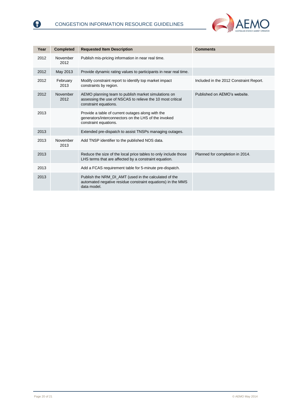

| Year | <b>Completed</b> | <b>Requested Item Description</b>                                                                                                          | <b>Comments</b>                         |
|------|------------------|--------------------------------------------------------------------------------------------------------------------------------------------|-----------------------------------------|
| 2012 | November<br>2012 | Publish mis-pricing information in near real time.                                                                                         |                                         |
| 2012 | May 2013         | Provide dynamic rating values to participants in near real time.                                                                           |                                         |
| 2012 | February<br>2013 | Modify constraint report to identify top market impact<br>constraints by region.                                                           | Included in the 2012 Constraint Report. |
| 2012 | November<br>2012 | AEMO planning team to publish market simulations on<br>assessing the use of NSCAS to relieve the 10 most critical<br>constraint equations. | Published on AEMO's website.            |
| 2013 |                  | Provide a table of current outages along with the<br>generators/interconnectors on the LHS of the invoked<br>constraint equations.         |                                         |
| 2013 |                  | Extended pre-dispatch to assist TNSPs managing outages.                                                                                    |                                         |
| 2013 | November<br>2013 | Add TNSP identifier to the published NOS data.                                                                                             |                                         |
| 2013 |                  | Reduce the size of the local price tables to only include those<br>LHS terms that are affected by a constraint equation.                   | Planned for completion in 2014.         |
| 2013 |                  | Add a FCAS requirement table for 5-minute pre-dispatch.                                                                                    |                                         |
| 2013 |                  | Publish the NRM_DI_AMT (used in the calculated of the<br>automated negative residue constraint equations) in the MMS<br>data model.        |                                         |